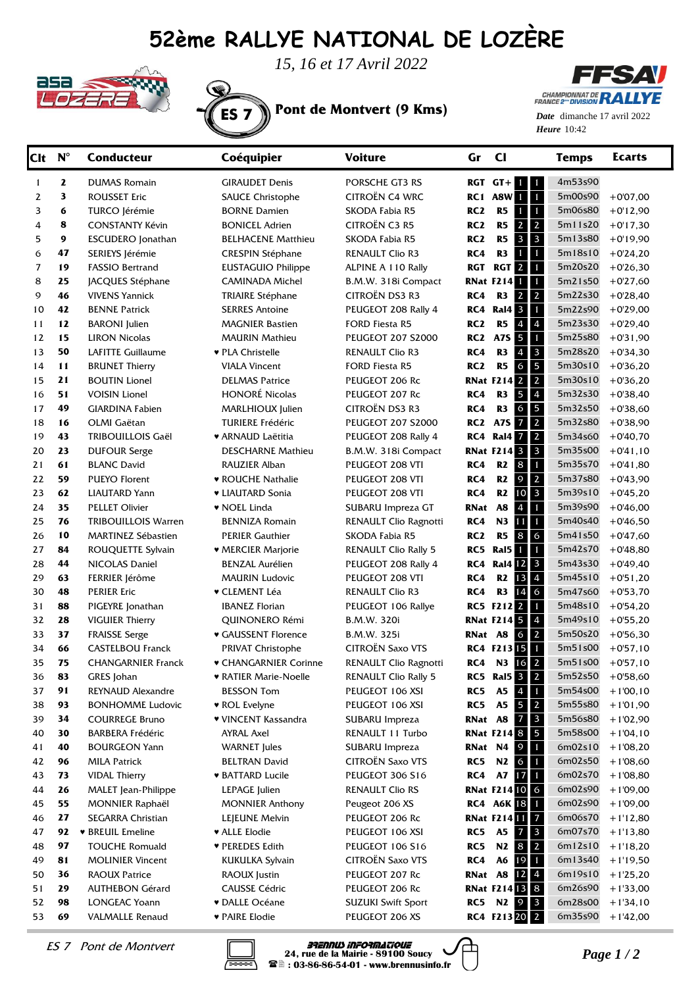## **52ème RALLYE NATIONAL DE LOZÈRE**



*15, 16 et 17 Avril 2022*



**FFSAV CHAMPIONNAT DE RA** LYE

Heure 10:42 *Date* dimanche 17 avril 2022

| <b>Clt</b>     | $N^{\circ}$ | <b>Conducteur</b>                    | Coéquipier                               | <b>Voiture</b>                         | $\mathbf{C}$<br>Gr                            | <b>Temps</b>                                       | <b>Ecarts</b>            |
|----------------|-------------|--------------------------------------|------------------------------------------|----------------------------------------|-----------------------------------------------|----------------------------------------------------|--------------------------|
| $\mathbf{1}$   | 2           | <b>DUMAS Romain</b>                  | <b>GIRAUDET Denis</b>                    | PORSCHE GT3 RS                         | $RGT$ $GT + 1$                                | 4m53s90<br>$\blacksquare$                          |                          |
| 2              | 3           | <b>ROUSSET Eric</b>                  | <b>SAUCE Christophe</b>                  | CITROËN C4 WRC                         | RC1 A8W I                                     | $\blacksquare$<br>5m00s90                          | $+0'07,00$               |
| 3              | 6           | TURCO Jérémie                        | <b>BORNE Damien</b>                      | SKODA Fabia R5                         | R5<br>RC <sub>2</sub><br>$\blacklozenge$      | $\mathbf{1}$<br>5m06s80                            | $+0'12,90$               |
| 4              | 8           | <b>CONSTANTY Kévin</b>               | <b>BONICEL Adrien</b>                    | <b>CITROËN C3 R5</b>                   | R5<br>$\overline{2}$<br>RC <sub>2</sub>       | $\overline{2}$<br>5m11s20                          | $+0'17,30$               |
| 5              | 9           | <b>ESCUDERO</b> Jonathan             | <b>BELHACENE Matthieu</b>                | SKODA Fabia R5                         | R5<br>$\mathbf{3}$<br>RC <sub>2</sub>         | $\overline{\mathbf{3}}$<br>5m13s80                 | $+0'19,90$               |
| 6              | 47          | SERIEYS Jérémie                      | <b>CRESPIN Stéphane</b>                  | <b>RENAULT Clio R3</b>                 | R <sub>3</sub><br>RC4<br>-1                   | $\mathbf{1}$<br>5m18s10                            | $+0'24,20$               |
| $\overline{7}$ | 19          | <b>FASSIO Bertrand</b>               | <b>EUSTAGUIO Philippe</b>                | ALPINE A 110 Rally                     | RGT <sub>2</sub><br>RGT                       | $\mathbf{1}$<br>5m20s20                            | $+0'26,30$               |
| 8              | 25          | JACQUES Stéphane                     | <b>CAMINADA Michel</b>                   | B.M.W. 318i Compact                    | <b>RNat F214</b>                              | $\mathbf{1}$<br>5m21s50                            | $+0'27,60$               |
| 9              | 46          | <b>VIVENS Yannick</b>                | <b>TRIAIRE Stéphane</b>                  | CITROËN DS3 R3                         | $\overline{2}$<br>RC4<br>R3                   | $\overline{2}$<br>5m22s30                          | $+0'28,40$               |
| 10             | 42          | <b>BENNE Patrick</b>                 | <b>SERRES Antoine</b>                    | PEUGEOT 208 Rally 4                    | <b>Ral4</b> 3<br>RC4                          | $\mathbf{1}$<br>5m22s90                            | $+0'29,00$               |
| 11             | 12          | <b>BARONI</b> Julien                 | <b>MAGNIER Bastien</b>                   | FORD Fiesta R5                         | R5<br>$\overline{4}$<br>RC <sub>2</sub>       | $\overline{4}$<br>5m23s30                          | $+0'29,40$               |
| 12             | 15          | <b>LIRON Nicolas</b>                 | <b>MAURIN Mathieu</b>                    | <b>PEUGEOT 207 S2000</b>               | A7S 5<br>RC2                                  | $\mathbf{1}$<br>5m25s80                            | $+0'31,90$               |
| 13             | 50          | <b>LAFITTE Guillaume</b>             | ♥ PLA Christelle                         | <b>RENAULT Clio R3</b>                 | R <sub>3</sub><br>$\boldsymbol{A}$<br>RC4     | $\mathbf{3}$<br>5m28s20                            | $+0'34,30$               |
| 14             | 11          | <b>BRUNET Thierry</b>                | <b>VIALA Vincent</b>                     | <b>FORD Fiesta R5</b>                  | R5<br>RC <sub>2</sub><br>6                    | $5\phantom{.0}$<br>5m30s10                         | $+0'36,20$               |
| 15             | 21          | <b>BOUTIN Lionel</b>                 | <b>DELMAS Patrice</b>                    | PEUGEOT 206 Rc                         | <b>RNat F214 2</b>                            | $\overline{2}$<br>5m30s10                          | $+0'36,20$               |
| 16             | 51          | <b>VOISIN Lionel</b>                 | <b>HONORÉ Nicolas</b>                    | PEUGEOT 207 Rc                         | R <sub>3</sub><br>5<br>RC4                    | $\overline{4}$<br>5m32s30                          | $+0'38,40$               |
| 17             | 49          | <b>GIARDINA Fabien</b>               | MARLHIOUX Julien                         | CITROËN DS3 R3                         | R <sub>3</sub><br>RC4<br>6                    | 5<br>5m32s50                                       | $+0'38,60$               |
| 18             | 16          | OLMI Gaëtan                          | <b>TURIERE Frédéric</b>                  | <b>PEUGEOT 207 S2000</b>               | A7S 7<br>RC2                                  | $\overline{2}$<br>5m32s80                          | $+0'38,90$               |
| 19             | 43          | <b>TRIBOUILLOIS Gaël</b>             | ♥ ARNAUD Laëtitia                        | PEUGEOT 208 Rally 4                    | <b>RC4 Ral4 7</b>                             | $\overline{2}$<br>5m34s60                          | $+0'40,70$               |
| 20             | 23          | <b>DUFOUR Serge</b>                  | <b>DESCHARNE Mathieu</b>                 | B.M.W. 318i Compact                    | <b>RNat F214 3</b>                            | 5m35s00<br>$\overline{\mathbf{3}}$                 | $+0'41,10$               |
| 21             | 61          | <b>BLANC David</b>                   | RAUZIER Alban                            | PEUGEOT 208 VTI                        | R2<br>8<br>RC4                                | $\mathbf{1}$<br>5m35s70                            | $+0'41,80$               |
| 22             | 59          | <b>PUEYO Florent</b>                 | • ROUCHE Nathalie                        | PEUGEOT 208 VTI                        | $\mathcal{Q}$<br>R2<br>RC4                    | $\overline{2}$<br>5m37s80                          | $+0'43,90$               |
| 23             | 62          | <b>LIAUTARD Yann</b>                 | • LIAUTARD Sonia                         | PEUGEOT 208 VTI                        | R2<br>RC4<br>10                               | $\overline{\mathbf{3}}$<br>5m39s10                 | $+0'45,20$               |
| 24             | 35          | <b>PELLET Olivier</b>                | • NOEL Linda                             | SUBARU Impreza GT                      | A8<br>RNat<br>4                               | $\mathbf{1}$<br>5m39s90                            | $+0'46,00$               |
| 25             | 76          | <b>TRIBOUILLOIS Warren</b>           | <b>BENNIZA Romain</b>                    | RENAULT Clio Ragnotti                  | N3<br>RC4<br>11                               | $\mathbf{1}$<br>5m40s40                            | $+0'46,50$               |
| 26             | 10          | <b>MARTINEZ Sébastien</b>            | <b>PERIER Gauthier</b>                   | SKODA Fabia R5                         | 8<br>RC <sub>2</sub><br>R <sub>5</sub>        | 6<br>5m41s50<br>5m42s70                            | $+0'47,60$               |
| 27             | 84<br>44    | ROUQUETTE Sylvain                    | $\blacktriangleright$ MERCIER Marjorie   | <b>RENAULT Clio Rally 5</b>            | RC5<br>Ral5<br>1                              | $\mathbf{1}$<br>$\overline{\mathbf{3}}$<br>5m43s30 | $+0'48,80$               |
| 28<br>29       | 63          | NICOLAS Daniel                       | BENZAL Aurélien<br><b>MAURIN Ludovic</b> | PEUGEOT 208 Rally 4<br>PEUGEOT 208 VTI | Ral4 12<br>RC4<br>R <sub>2</sub><br>13<br>RC4 | $\overline{4}$<br>5m45s10                          | $+0'49,40$               |
| 30             | 48          | FERRIER Jérôme<br><b>PERIER Eric</b> | ▼ CLEMENT Léa                            | <b>RENAULT Clio R3</b>                 | R <sub>3</sub><br>RC4<br>14                   | $\mathbf 6$<br>5m47s60                             | $+0'51,20$<br>$+0'53,70$ |
| 31             | 88          | PIGEYRE Jonathan                     | <b>IBANEZ Florian</b>                    | PEUGEOT 106 Rallye                     | RC5 F212 2                                    | $\mathbf{1}$<br>5m48s10                            | $+0'54,20$               |
| 32             | 28          | <b>VIGUIER Thierry</b>               | QUINONERO Rémi                           | <b>B.M.W. 320i</b>                     | <b>RNat F214 5</b>                            | $\overline{4}$<br>5m49s10                          | $+0'55,20$               |
| 33             | 37          | <b>FRAISSE Serge</b>                 | ♥ GAUSSENT Florence                      | B.M.W. 325i                            | RNat A8<br>6                                  | $\overline{2}$<br>5m50s20                          | $+0'56,30$               |
| 34             | 66          | <b>CASTELBOU Franck</b>              | <b>PRIVAT Christophe</b>                 | CITROËN Saxo VTS                       | RC4 F213 <sup>15</sup>                        | $\mathbf{1}$<br>5m51s00                            | $+0'57,10$               |
| 35             | 75          | <b>CHANGARNIER Franck</b>            | ♥ CHANGARNIER Corinne                    | RENAULT Clio Ragnotti                  | N3<br>RC4<br>16                               | $\overline{2}$<br>5m51s00                          | $+0'57,10$               |
| 36             | 83          | GRES Johan                           | <b>* RATIER Marie-Noelle</b>             | <b>RENAULT Clio Rally 5</b>            | RC5<br>Ral5 3 2                               | 5m52s50                                            | $+0'58,60$               |
| 37             | 91          | REYNAUD Alexandre                    | <b>BESSON Tom</b>                        | PEUGEOT 106 XSI                        | A <sub>5</sub><br>RC5<br>$\boldsymbol{4}$     | $\mathbf{1}$<br>5m54s00                            | $+1'00,10$               |
| 38             | 93          | <b>BONHOMME Ludovic</b>              | ▼ ROL Evelyne                            | PEUGEOT 106 XSI                        | A5<br>RC5<br>5                                | $\overline{2}$<br>5m55s80                          | $+1'01,90$               |
| 39             | 34          | <b>COURREGE Bruno</b>                | ♥ VINCENT Kassandra                      | SUBARU Impreza                         | RNat A8<br>$\overline{7}$                     | $\overline{\mathbf{3}}$<br>5m56s80                 | $+1'02,90$               |
| 40             | 30          | <b>BARBERA Frédéric</b>              | AYRAL Axel                               | RENAULT 11 Turbo                       | <b>RNat F214 8</b>                            | 5<br>5m58s00                                       | $+1'04,10$               |
| 41             | 40          | <b>BOURGEON Yann</b>                 | <b>WARNET</b> Jules                      | SUBARU Impreza                         | RNat N4<br>$\overline{9}$                     | 6m02s10<br>$\blacksquare$                          | $+1'08,20$               |
| 42             | 96          | <b>MILA Patrick</b>                  | <b>BELTRAN David</b>                     | CITROËN Saxo VTS                       | N <sub>2</sub> 6<br>RC5                       | 6m02s50<br>$\blacksquare$                          | $+1'08,60$               |
| 43             | 73          | <b>VIDAL Thierry</b>                 | <b>* BATTARD Lucile</b>                  | PEUGEOT 306 S16                        | A7 17<br>RC4                                  | 6m02s70<br>$\blacksquare$                          | $+1'08,80$               |
| 44             | 26          | MALET Jean-Philippe                  | LEPAGE Julien                            | <b>RENAULT Clio RS</b>                 | <b>RNat F214 10 6</b>                         | 6m02s90                                            | $+1'09,00$               |
| 45             | 55          | MONNIER Raphaël                      | <b>MONNIER Anthony</b>                   | Peugeot 206 XS                         | RC4 A6K 18 1                                  | 6m02s90                                            | $+1'09,00$               |
| 46             | 27          | SEGARRA Christian                    | LEJEUNE Melvin                           | PEUGEOT 206 Rc                         | <b>RNat F214 11 7</b>                         | 6m06s70                                            | $+1'12,80$               |
| 47             | 92          | <b>* BREUIL Emeline</b>              | ♥ ALLE Elodie                            | PEUGEOT 106 XSI                        | <b>A5</b><br>RC5<br>$\overline{7}$            | $\overline{\mathbf{3}}$<br>6m07s70                 | $+1'13,80$               |
| 48             | 97          | <b>TOUCHE Romuald</b>                | ♥ PEREDES Edith                          | PEUGEOT 106 S16                        | N <sub>2</sub> 8<br>RC5                       | $\vert 2 \vert$<br>6m12s10                         | $+1'18,20$               |
| 49             | 81          | <b>MOLINIER Vincent</b>              | KUKULKA Sylvain                          | <b>CITROËN Saxo VTS</b>                | A6<br>RC4<br>19                               | 6m13s40<br>$\blacksquare$                          | $+1'19,50$               |
| 50             | 36          | <b>RAOUX Patrice</b>                 | RAOUX Justin                             | PEUGEOT 207 Rc                         | RNat A8                                       | 6m19s10<br>$12 \quad 4$                            | $+1'25,20$               |
| 51             | 29          | <b>AUTHEBON Gérard</b>               | <b>CAUSSE Cédric</b>                     | PEUGEOT 206 Rc                         | <b>RNat F214 13 8</b>                         | 6m26s90                                            | $+1'33,00$               |
| 52             | 98          | <b>LONGEAC Yoann</b>                 | <b>v</b> DALLE Océane                    | <b>SUZUKI Swift Sport</b>              | RC5 N2 9 3                                    | 6m28s00                                            | $+1'34,10$               |
| 53             | 69          | <b>VALMALLE Renaud</b>               | ♥ PAIRE Elodie                           | PEUGEOT 206 XS                         | RC4 F213 20 2                                 | 6m35s90                                            | $+1'42,00$               |